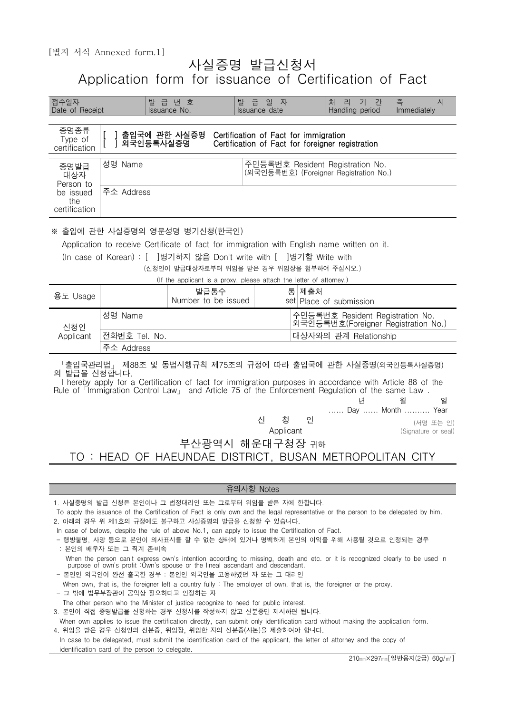## 사실증명 발급신청서 Application form for issuance of Certification of Fact n.1」<br>
사실증명 발급신청서<br>form for issuance of Certification of Fact<br><sub>발급번호</sub> 발급일자 체리기간측 시<br>Issuance No. Issuance date Handling period Immediately

| 접수일자<br>Date of Receipt                                       |                                                                                                                                                                                                                                                                                                                                                                                                                                                                                                                                                                                                                                                                                                                                                                                                                                                                                                                                                                                                                                                                                                                                                                                                                                                                                                                                                                                                        | 발급번호<br>Issuance No.                                                                                              | 발급 일 자<br>Issuance date                                                                   |       | 처 리 기 간<br>Handling period                                                 | 즉<br>시<br>Immediately                     |
|---------------------------------------------------------------|--------------------------------------------------------------------------------------------------------------------------------------------------------------------------------------------------------------------------------------------------------------------------------------------------------------------------------------------------------------------------------------------------------------------------------------------------------------------------------------------------------------------------------------------------------------------------------------------------------------------------------------------------------------------------------------------------------------------------------------------------------------------------------------------------------------------------------------------------------------------------------------------------------------------------------------------------------------------------------------------------------------------------------------------------------------------------------------------------------------------------------------------------------------------------------------------------------------------------------------------------------------------------------------------------------------------------------------------------------------------------------------------------------|-------------------------------------------------------------------------------------------------------------------|-------------------------------------------------------------------------------------------|-------|----------------------------------------------------------------------------|-------------------------------------------|
| 증명종류<br>Type of<br>certification                              | 출입국에 관한 사실증명<br>외국인등록사실증명                                                                                                                                                                                                                                                                                                                                                                                                                                                                                                                                                                                                                                                                                                                                                                                                                                                                                                                                                                                                                                                                                                                                                                                                                                                                                                                                                                              |                                                                                                                   | Certification of Fact for immigration<br>Certification of Fact for foreigner registration |       |                                                                            |                                           |
| 증명발급<br>대상자<br>Person to<br>be issued<br>the<br>certification | 성명 Name<br>주소 Address                                                                                                                                                                                                                                                                                                                                                                                                                                                                                                                                                                                                                                                                                                                                                                                                                                                                                                                                                                                                                                                                                                                                                                                                                                                                                                                                                                                  |                                                                                                                   |                                                                                           |       | 주민등록번호 Resident Registration No.<br>(외국인등록번호) (Foreigner Registration No.) |                                           |
|                                                               | ※ 출입에 관한 사실증명의 영문성명 병기신청(한국인)<br>Application to receive Certificate of fact for immigration with English name written on it.<br>(In case of Korean) : [ ]병기하지 않음 Don't write with [ ]병기함 Write with                                                                                                                                                                                                                                                                                                                                                                                                                                                                                                                                                                                                                                                                                                                                                                                                                                                                                                                                                                                                                                                                                                                                                                                                    | (신청인이 발급대상자로부터 위임을 받은 경우 위임장을 첨부하여 주십시오.)<br>(If the applicant is a proxy, please attach the letter of attorney.) |                                                                                           |       |                                                                            |                                           |
| 용도 Usage                                                      |                                                                                                                                                                                                                                                                                                                                                                                                                                                                                                                                                                                                                                                                                                                                                                                                                                                                                                                                                                                                                                                                                                                                                                                                                                                                                                                                                                                                        | 발급통수<br>Number to be issued                                                                                       |                                                                                           | 통 제출처 | set Place of submission                                                    |                                           |
| 신청인<br>Applicant                                              | 성명 Name<br>주민등록번호 Resident Registration No.<br>외국인등록번호(Foreigner Registration No.)<br>대상자와의 관계 Relationship<br>전화번호 Tel. No.<br>주소 Address                                                                                                                                                                                                                                                                                                                                                                                                                                                                                                                                                                                                                                                                                                                                                                                                                                                                                                                                                                                                                                                                                                                                                                                                                                                             |                                                                                                                   |                                                                                           |       |                                                                            |                                           |
|                                                               | 「출입국관리법」 제88조 및 동법시행규칙 제75조의 규정에 따라 출입국에 관한 사실증명(외국인등록사실증명)<br>의 발급을 신청합니다.<br>I hereby apply for a Certification of fact for immigration purposes in accordance with Article 88 of the<br>Rule of <sup>r</sup> Immigration Control Law <sub>J</sub> and Article 75 of the Enforcement Regulation of the same Law.                                                                                                                                                                                                                                                                                                                                                                                                                                                                                                                                                                                                                                                                                                                                                                                                                                                                                                                                                                                                                                                                                     |                                                                                                                   | 신<br>청                                                                                    | 인     |                                                                            | 웤<br>일<br>Day  Month  Year                |
|                                                               | TO : HEAD OF HAEUNDAE DISTRICT, BUSAN METROPOLITAN CITY                                                                                                                                                                                                                                                                                                                                                                                                                                                                                                                                                                                                                                                                                                                                                                                                                                                                                                                                                                                                                                                                                                                                                                                                                                                                                                                                                |                                                                                                                   | Applicant<br>부산광역시 해운대구청장 귀하                                                              |       |                                                                            | (서명 또는 인)<br>(Signature or seal)          |
|                                                               |                                                                                                                                                                                                                                                                                                                                                                                                                                                                                                                                                                                                                                                                                                                                                                                                                                                                                                                                                                                                                                                                                                                                                                                                                                                                                                                                                                                                        |                                                                                                                   | 유의사항 Notes                                                                                |       |                                                                            |                                           |
|                                                               | 1. 사실증명의 발급 신청은 본인이나 그 법정대리인 또는 그로부터 위임을 받은 자에 한합니다.<br>To apply the issuance of the Certification of Fact is only own and the legal representative or the person to be delegated by him.<br>2. 아래의 경우 위 제1호의 규정에도 불구하고 사실증명의 발급을 신청할 수 있습니다.<br>In case of belows, despite the rule of above No.1, can apply to issue the Certification of Fact.<br>- 행방불명, 사망 등으로 본인이 의사표시를 할 수 없는 상태에 있거나 명백하게 본인의 이익을 위해 사용될 것으로 인정되는 경우<br>: 본인의 배우자 또는 그 직계 존비속<br>When the person can't express own's intention according to missing, death and etc. or it is recognized clearly to be used in<br>purpose of own's profit : Own's spouse or the lineal ascendant and descendant.<br>- 본인인 외국인이 완전 출국한 경우 : 본인인 외국인을 고용하였던 자 또는 그 대리인<br>When own, that is, the foreigner left a country fully: The employer of own, that is, the foreigner or the proxy.<br>- 그 밖에 법무부장관이 공익상 필요하다고 인정하는 자<br>The other person who the Minister of justice recognize to need for public interest.<br>3. 본인이 직접 증명발급을 신청하는 경우 신청서를 작성하지 않고 신분증만 제시하면 됩니다.<br>When own applies to issue the certification directly, can submit only identification card without making the application form.<br>4. 위임을 받은 경우 신청인의 신분증, 위임장, 위임한 자의 신분증(사본)을 제출하여야 합니다.<br>In case to be delegated, must submit the identification card of the applicant, the letter of attorney and the copy of<br>identification card of the person to delegate. |                                                                                                                   |                                                                                           |       |                                                                            |                                           |
|                                                               |                                                                                                                                                                                                                                                                                                                                                                                                                                                                                                                                                                                                                                                                                                                                                                                                                                                                                                                                                                                                                                                                                                                                                                                                                                                                                                                                                                                                        |                                                                                                                   |                                                                                           |       |                                                                            | 210mm×297mm[일반용지(2급) 60g/m <sup>2</sup> ] |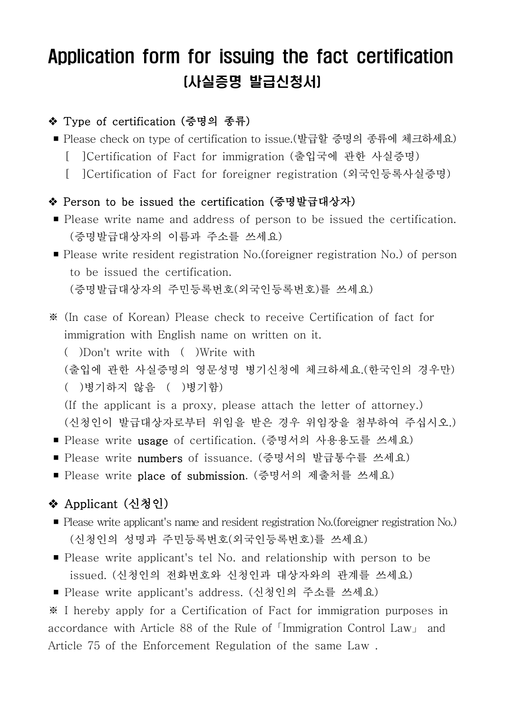# Application form for issuing the fact certification (사실증명 발급신청서)

#### ◆ Type of certification (증명의 종류)

- Please check on type of certification to issue.(발급할 증명의 종류에 체크하세요)
	- [ ]Certification of Fact for immigration (출입국에 관한 사실증명)
	- [ ]Certification of Fact for foreigner registration (외국인등록사실증명)

#### v Person to be issued the certification (증명발급대상자)

- Please write name and address of person to be issued the certification. (증명발급대상자의 이름과 주소를 쓰세요)
- Please write resident registration No.(foreigner registration No.) of person to be issued the certification. (증명발급대상자의 주민등록번호(외국인등록번호)를 쓰세요)
- ※ (In case of Korean) Please check to receive Certification of fact for immigration with English name on written on it.

( )Don't write with ( )Write with

(출입에 관한 사실증명의 영문성명 병기신청에 체크하세요.(한국인의 경우만)

( )병기하지 않음 ( )병기함)

 (If the applicant is a proxy, please attach the letter of attorney.) (신청인이 발급대상자로부터 위임을 받은 경우 위임장을 첨부하여 주십시오.)

- Please write usage of certification. (증명서의 사용용도를 쓰세요)
- Please write numbers of issuance. (증명서의 발급통수를 쓰세요)
- Please write place of submission. (증명서의 제출처를 쓰세요)

### ❖ Applicant (신청인)

- Please write applicant's name and resident registration No.(foreigner registration No.) (신청인의 성명과 주민등록번호(외국인등록번호)를 쓰세요)
- Please write applicant's tel No. and relationship with person to be issued. (신청인의 전화번호와 신청인과 대상자와의 관계를 쓰세요)
- Please write applicant's address. (신청인의 주소를 쓰세요)

※ I hereby apply for a Certification of Fact for immigration purposes in accordance with Article 88 of the Rule of「Immigration Control Law」 and Article 75 of the Enforcement Regulation of the same Law .